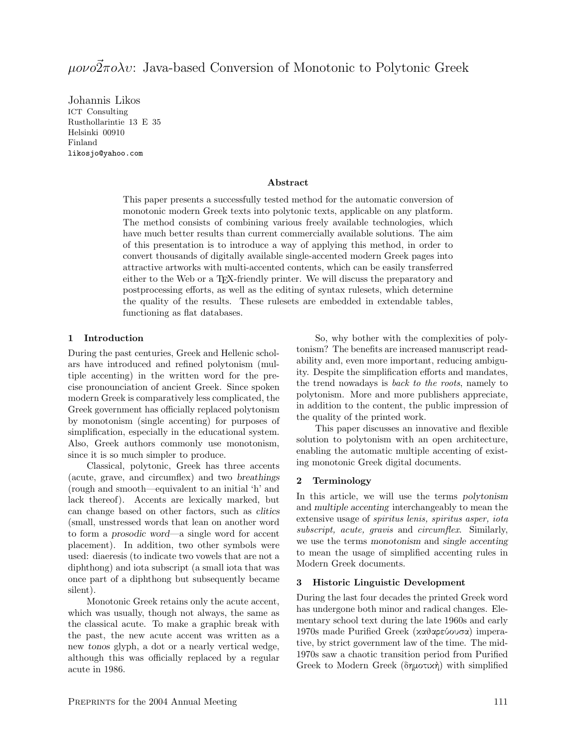Johannis Likos ICT Consulting Rusthollarintie 13 E 35 Helsinki 00910 Finland likosjo@yahoo.com

#### Abstract

This paper presents a successfully tested method for the automatic conversion of monotonic modern Greek texts into polytonic texts, applicable on any platform. The method consists of combining various freely available technologies, which have much better results than current commercially available solutions. The aim of this presentation is to introduce a way of applying this method, in order to convert thousands of digitally available single-accented modern Greek pages into attractive artworks with multi-accented contents, which can be easily transferred either to the Web or a T<sub>EX</sub>-friendly printer. We will discuss the preparatory and postprocessing efforts, as well as the editing of syntax rulesets, which determine the quality of the results. These rulesets are embedded in extendable tables, functioning as flat databases.

## 1 Introduction

During the past centuries, Greek and Hellenic scholars have introduced and refined polytonism (multiple accenting) in the written word for the precise pronounciation of ancient Greek. Since spoken modern Greek is comparatively less complicated, the Greek government has officially replaced polytonism by monotonism (single accenting) for purposes of simplification, especially in the educational system. Also, Greek authors commonly use monotonism, since it is so much simpler to produce.

Classical, polytonic, Greek has three accents (acute, grave, and circumflex) and two breathings (rough and smooth—equivalent to an initial 'h' and lack thereof). Accents are lexically marked, but can change based on other factors, such as clitics (small, unstressed words that lean on another word to form a prosodic word—a single word for accent placement). In addition, two other symbols were used: diaeresis (to indicate two vowels that are not a diphthong) and iota subscript (a small iota that was once part of a diphthong but subsequently became silent).

Monotonic Greek retains only the acute accent, which was usually, though not always, the same as the classical acute. To make a graphic break with the past, the new acute accent was written as a new tonos glyph, a dot or a nearly vertical wedge, although this was officially replaced by a regular acute in 1986.

So, why bother with the complexities of polytonism? The benefits are increased manuscript readability and, even more important, reducing ambiguity. Despite the simplification efforts and mandates, the trend nowadays is back to the roots, namely to polytonism. More and more publishers appreciate, in addition to the content, the public impression of the quality of the printed work.

This paper discusses an innovative and flexible solution to polytonism with an open architecture, enabling the automatic multiple accenting of existing monotonic Greek digital documents.

## 2 Terminology

In this article, we will use the terms polytonism and multiple accenting interchangeably to mean the extensive usage of spiritus lenis, spiritus asper, iota subscript, acute, gravis and circumflex. Similarly, we use the terms monotonism and single accenting to mean the usage of simplified accenting rules in Modern Greek documents.

#### 3 Historic Linguistic Development

During the last four decades the printed Greek word has undergone both minor and radical changes. Elementary school text during the late 1960s and early 1970s made Purified Greek (καθαρεύουσα) imperative, by strict government law of the time. The mid-1970s saw a chaotic transition period from Purified Greek to Modern Greek (δημοτική) with simplified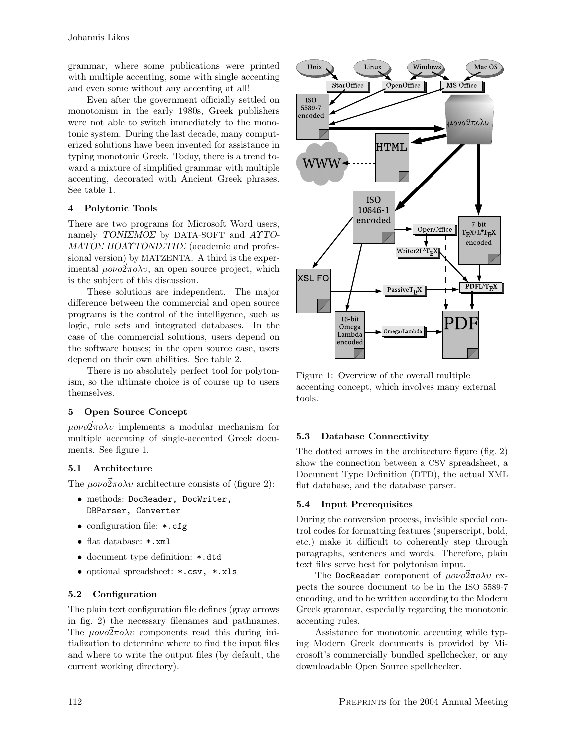grammar, where some publications were printed with multiple accenting, some with single accenting and even some without any accenting at all!

Even after the government officially settled on monotonism in the early 1980s, Greek publishers were not able to switch immediately to the monotonic system. During the last decade, many computerized solutions have been invented for assistance in typing monotonic Greek. Today, there is a trend toward a mixture of simplified grammar with multiple accenting, decorated with Ancient Greek phrases. See table 1.

## 4 Polytonic Tools

There are two programs for Microsoft Word users, namely  $TONIZMOZ$  by DATA-SOFT and  $ATTO MATO\Sigma$   $HOMTTONI\Sigma TH\Sigma$  (academic and professional version) by MATZENTA. A third is the experimental  $\mu o\nu o\bar{2}\pi o\lambda v$ , an open source project, which is the subject of this discussion.

These solutions are independent. The major difference between the commercial and open source programs is the control of the intelligence, such as logic, rule sets and integrated databases. In the case of the commercial solutions, users depend on the software houses; in the open source case, users depend on their own abilities. See table 2.

There is no absolutely perfect tool for polytonism, so the ultimate choice is of course up to users themselves.

## 5 Open Source Concept

 $\mu o\nu o\overline{2}\pi o\lambda v$  implements a modular mechanism for multiple accenting of single-accented Greek documents. See figure 1.

# 5.1 Architecture

The  $\mu o\nu o\bar{2}\pi o\lambda v$  architecture consists of (figure 2):

- methods: DocReader, DocWriter, DBParser, Converter
- configuration file: \*.cfg
- flat database: \*.xml
- document type definition: \*.dtd
- optional spreadsheet: \*.csv, \*.xls

## 5.2 Configuration

The plain text configuration file defines (gray arrows in fig. 2) the necessary filenames and pathnames. The  $\mu \omega \omega \overline{2} \pi \omega \lambda \nu$  components read this during initialization to determine where to find the input files and where to write the output files (by default, the current working directory).



Figure 1: Overview of the overall multiple accenting concept, which involves many external tools.

# 5.3 Database Connectivity

The dotted arrows in the architecture figure (fig. 2) show the connection between a CSV spreadsheet, a Document Type Definition (DTD), the actual XML flat database, and the database parser.

## 5.4 Input Prerequisites

During the conversion process, invisible special control codes for formatting features (superscript, bold, etc.) make it difficult to coherently step through paragraphs, sentences and words. Therefore, plain text files serve best for polytonism input.

The DocReader component of  $\mu o\nu o^2 \pi o \lambda v$  expects the source document to be in the ISO 5589-7 encoding, and to be written according to the Modern Greek grammar, especially regarding the monotonic accenting rules.

Assistance for monotonic accenting while typing Modern Greek documents is provided by Microsoft's commercially bundled spellchecker, or any downloadable Open Source spellchecker.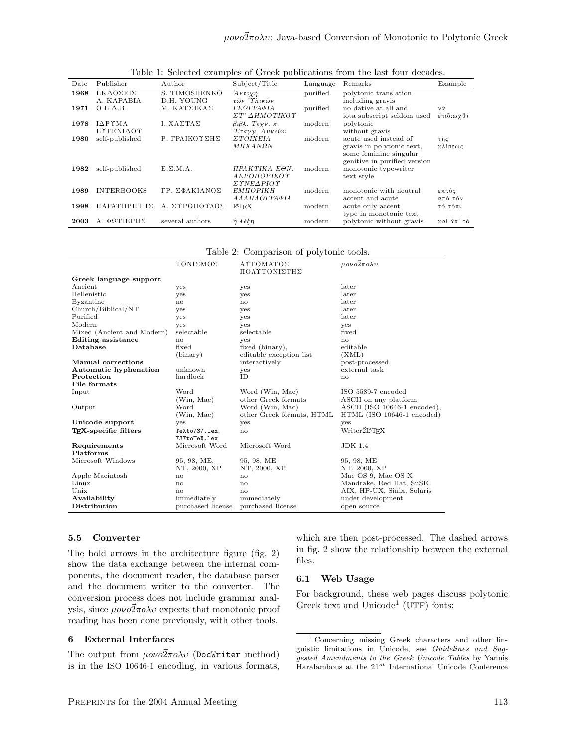| Date | Publisher                              | Author                    | Subject/Title                                                                          | Language | Remarks                                                                                                      | Example          |
|------|----------------------------------------|---------------------------|----------------------------------------------------------------------------------------|----------|--------------------------------------------------------------------------------------------------------------|------------------|
| 1968 | ΕΚΔΟΣΕΙΣ                               | S. TIMOSHENKO             | Άντοχὴ                                                                                 | purified | polytonic translation                                                                                        |                  |
| 1971 | A. KAPABIA<br>$O.E.\Delta.B.$          | D.H. YOUNG<br>Μ. ΚΑΤΣΙΚΑΣ | $\tau\tilde{\omega}\nu$ 'Υλικ $\tilde{\omega}\nu$<br>ΓΕΩΓΡΑΦΙΑ<br>ΣΤ' ΔΗΜΟΤΙΚΟΥ        | purified | including gravis<br>no dative at all and<br>iota subscript seldom used                                       | νά<br>έπιδιωγθῆ  |
| 1978 | $I\Delta$ P $\Upsilon$ MA<br>ETFFNIAOP | I. $XAZTA\Sigma$          | βιβλ. Tεχν. κ.<br>'Επαγγ. Λυκείου                                                      | modern   | polytonic<br>without gravis                                                                                  |                  |
| 1980 | self-published                         | Ρ. ΓΡΑΙΚΟΥΣΗΣ             | ΣΤΟΙΧΕΙΑ<br>$MHXAN\Omega N$                                                            | modern   | acute used instead of<br>gravis in polytonic text,<br>some feminine singular<br>genitive in purified version | τῆς<br>χλίσεως   |
| 1982 | self-published                         | $E.\Sigma.M.A.$           | $HPAKTIKA$ $E\Theta N$ .<br>ΑΕΡΟΠΟΡΙΚΟΥ<br>$\Sigma \Upsilon N E \Delta P I O \Upsilon$ | modern   | monotonic typewriter<br>text style                                                                           |                  |
| 1989 | <b>INTERBOOKS</b>                      | ΓΡ. ΣΦΑΚΙΑΝΟΣ             | ЕМПОРІКН<br><i><b>AAAHAOFPA</b> PA</i>                                                 | modern   | monotonic with neutral<br>accent and acute                                                                   | εχτός<br>από τόν |
| 1998 | ΠΑΡΑΤΗΡΗΤΗΣ                            | Α. ΣΥΡΟΠΟΥΛΟΣ             | LATFX                                                                                  | modern   | acute only accent<br>type in monotonic text                                                                  | τό τόπι          |
| 2003 | $\Phi$ ΩTIEPH $\Sigma$<br>$\mathbf{A}$ | several authors           | $η$ λέξη                                                                               | modern   | polytonic without gravis                                                                                     | χαί ἀπ' τό       |

|  |  |  |  |  |  | Table 1: Selected examples of Greek publications from the last four decades |  |  |  |  |  |
|--|--|--|--|--|--|-----------------------------------------------------------------------------|--|--|--|--|--|
|--|--|--|--|--|--|-----------------------------------------------------------------------------|--|--|--|--|--|

| Table 2: Comparison of polytonic tools. |  |  |  |
|-----------------------------------------|--|--|--|
|                                         |  |  |  |

|                            | ΤΟΝΙΣΜΟΣ          | ΑΥΤΟΜΑΤΟΣ<br>ΠΟΛΥΤΟΝΙΣΤΗΣ | μονο $\vec{2}$ πολυ          |
|----------------------------|-------------------|---------------------------|------------------------------|
| Greek language support     |                   |                           |                              |
| Ancient                    | yes               | yes                       | later                        |
| Hellenistic                | yes               | yes                       | later                        |
| Byzantine                  | no                | no                        | later                        |
| Church/Biblical/NT         | yes               | yes                       | later                        |
| Purified                   | yes               | yes                       | later                        |
| Modern                     | yes               | yes                       | yes                          |
| Mixed (Ancient and Modern) | selectable        | selectable                | fixed                        |
| <b>Editing assistance</b>  | no                | yes                       | no                           |
| Database                   | fixed             | fixed (binary),           | editable                     |
|                            | (binary)          | editable exception list   | (XML)                        |
| Manual corrections         |                   | interactively             | post-processed               |
| Automatic hyphenation      | unknown           | yes                       | external task                |
| Protection                 | hardlock          | <b>ID</b>                 | no                           |
| File formats               |                   |                           |                              |
| Input                      | Word              | Word (Win, Mac)           | ISO 5589-7 encoded           |
|                            | (Win, Mac)        | other Greek formats       | ASCII on any platform        |
| Output                     | Word              | Word (Win, Mac)           | ASCII (ISO 10646-1 encoded), |
|                            | (Win, Mac)        | other Greek formats, HTML | HTML (ISO 10646-1 encoded)   |
| Unicode support            | yes               | yes                       | yes                          |
| TFX-specific filters       | TeXto737.lex.     | $\mathbf{n}$              | Writer2LAT <sub>F</sub> X    |
|                            | 737toTeX.lex      |                           |                              |
| Requirements               | Microsoft Word    | Microsoft Word            | $JDK$ 1.4                    |
| Platforms                  |                   |                           |                              |
| Microsoft Windows          | 95, 98, ME,       | 95, 98, ME                | 95, 98, ME                   |
|                            | NT, 2000, XP      | NT, 2000, XP              | NT, 2000, XP                 |
| Apple Macintosh            | $\mathbf{n}$      | $\mathbf{n}$              | Mac OS 9, Mac OS X           |
| Linux                      | $\mathbf{n}$      | $\mathbf{n}$              | Mandrake, Red Hat, SuSE      |
| Unix                       | $\mathbf{n}$      | no                        | AIX, HP-UX, Sinix, Solaris   |
| Availability               | immediately       | immediately               | under development            |
| Distribution               | purchased license | purchased license         | open source                  |

#### $5.5$ Converter

The bold arrows in the architecture figure (fig. 2) show the data exchange between the internal components, the document reader, the database parser and the document writer to the converter. The conversion process does not include grammar analysis, since  $\mu o\nu o\overline{2}\pi o\lambda v$  expects that monotonic proof reading has been done previously, with other tools.

#### 6 External Interfaces

The output from  $\mu o\nu o \vec{2}\pi o \lambda v$  (DocWriter method) is in the ISO 10646-1 encoding, in various formats,

which are then post-processed. The dashed arrows in fig. 2 show the relationship between the external files.

#### 6.1 Web Usage

For background, these web pages discuss polytonic Greek text and Unicode<sup>1</sup> (UTF) fonts:

<sup>&</sup>lt;sup>1</sup> Concerning missing Greek characters and other linguistic limitations in Unicode, see Guidelines and Suggested Amendments to the Greek Unicode Tables by Yannis Haralambous at the  $21^{st}$  International Unicode Conference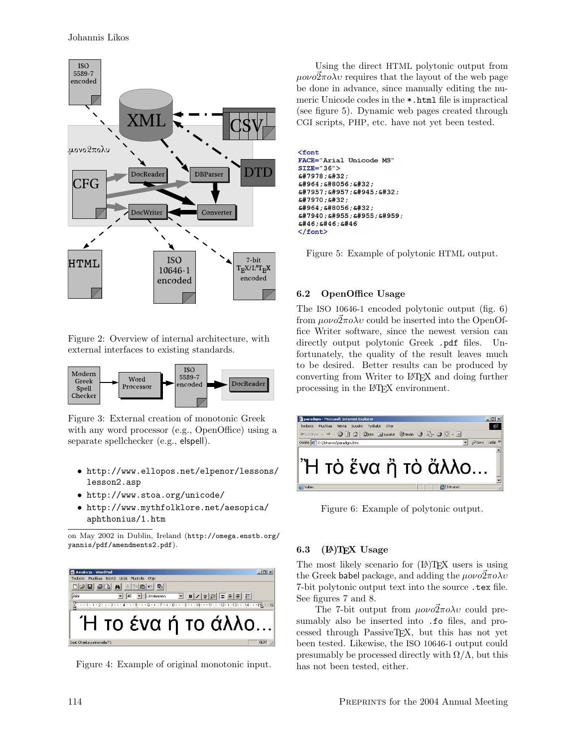

Figure 2: Overview of internal architecture, with external interfaces to existing standards.



Figure 3: External creation of monotonic Greek with any word processor (e.g., OpenOffice) using a separate spellchecker (e.g., elspell).

- http://www.ellopos.net/elpenor/lessons/ lesson2.asp
- http://www.stoa.org/unicode/
- http://www.mythfolklore.net/aesopica/ aphthonius/1.htm

on May 2002 in Dublin, Ireland (http://omega.enstb.org/ yannis/pdf/amendments2.pdf).





Using the direct HTML polytonic output from  $\mu \omega \nu \overline{2} \pi \overline{0} \lambda \nu$  requires that the layout of the web page be done in advance, since manually editing the numeric Unicode codes in the \*.html file is impractical (see figure 5). Dynamic web pages created through CGI scripts, PHP, etc. have not yet been tested.

```
<font
FACE="Arial Unicode MS"
SIZE="36">
£#7978; £#32
τ ὸ  
ἕ ν α  
ἢ  
τ ὸ  
£#7940; £#955; £#955; £#959;
. . &#46
\langle/font>
```
Figure 5: Example of polytonic HTML output.

# 6.2 OpenOffice Usage

The ISO 10646-1 encoded polytonic output (fig. 6) from  $\mu o\nu o\overline{2}\pi o\lambda v$  could be inserted into the OpenOffice Writer software, since the newest version can directly output polytonic Greek .pdf files. Unfortunately, the quality of the result leaves much to be desired. Better results can be produced by converting from Writer to LATEX and doing further processing in the LATEX environment.



Figure 6: Example of polytonic output.

## 6.3 (LA)TEX Usage

The most likely scenario for  $(E)$ T<sub>E</sub>X users is using the Greek babel package, and adding the  $\mu \omega \nu \partial \bar{\chi} \nu$ 7-bit polytonic output text into the source .tex file. See figures 7 and 8.

The 7-bit output from  $\mu o\nu o^2 \pi o \lambda v$  could presumably also be inserted into .fo files, and processed through PassiveTEX, but this has not yet been tested. Likewise, the ISO 10646-1 output could presumably be processed directly with  $\Omega/\Lambda$ , but this has not been tested, either.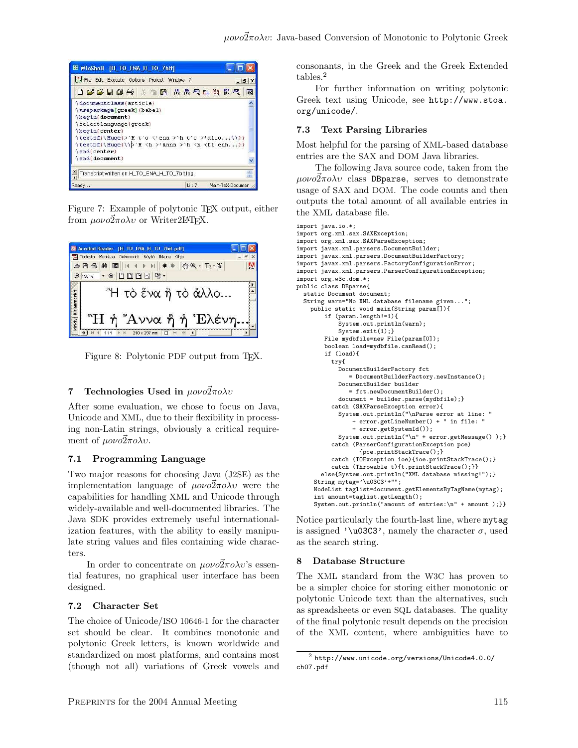

Figure 7: Example of polytonic T<sub>F</sub>X output, either from  $\mu \omega \nu o \bar{2} \pi o \lambda \nu$  or Writer2LATFX.

|                      | Acrobat Reader - [H TO ENA H TO 7bit.pdf]                                                           |     |
|----------------------|-----------------------------------------------------------------------------------------------------|-----|
|                      | Muokkaa Dokumentti Noyto Ikkuna Ohje<br>Tiedosto                                                    |     |
|                      | $\sqrt{2}$ $\sqrt{2}$ $\sqrt{1}$ $\sqrt{2}$<br>■ 14 4 ▶<br>$\parallel$ $\parallel$ $\parallel$<br>叠 | inn |
|                      | $\mathbb{E}$ b.<br><b>IP</b><br>冋<br>$\odot$<br>150 %                                               |     |
| Grjanmer             | "Η τὸ ἕνα ἢ τὸ ἄλλο                                                                                 |     |
| vinisty <sup>®</sup> | "Η ἡ "Αννα ἢ ἡ 'Ελένη<br>淵<br>$210 \times 297$ mm<br>1/1<br>H<br>п<br>$\overline{\phantom{a}}$      |     |

Figure 8: Polytonic PDF output from T<sub>F</sub>X.

# 7 Technologies Used in  $\mu \omega \nu \partial \bar{\chi} \sigma \lambda \nu$

After some evaluation, we chose to focus on Java, Unicode and XML, due to their flexibility in processing non-Latin strings, obviously a critical requirement of  $\mu o\nu o \bar{2}\pi o \lambda v$ .

## 7.1 Programming Language

Two major reasons for choosing Java (J2SE) as the implementation language of  $\mu o\nu o\overline{2}\pi o\lambda v$  were the capabilities for handling XML and Unicode through widely-available and well-documented libraries. The Java SDK provides extremely useful internationalization features, with the ability to easily manipulate string values and files containing wide characters.

In order to concentrate on  $\mu o\nu o\bar{2}\pi o\lambda v$ 's essential features, no graphical user interface has been designed.

## 7.2 Character Set

The choice of Unicode/ISO 10646-1 for the character set should be clear. It combines monotonic and polytonic Greek letters, is known worldwide and standardized on most platforms, and contains most (though not all) variations of Greek vowels and consonants, in the Greek and the Greek Extended tables.<sup>2</sup>

For further information on writing polytonic Greek text using Unicode, see http://www.stoa. org/unicode/.

# 7.3 Text Parsing Libraries

Most helpful for the parsing of XML-based database entries are the SAX and DOM Java libraries.

The following Java source code, taken from the  $\mu \nu \nu \overline{2} \pi \nu \lambda \nu$  class DB parse, serves to demonstrate usage of SAX and DOM. The code counts and then outputs the total amount of all available entries in the XML database file.

```
import java.io.*;
import org.xml.sax.SAXException;
import org.xml.sax.SAXParseException;
import javax.xml.parsers.DocumentBuilder;
import javax.xml.parsers.DocumentBuilderFactory;
import javax.xml.parsers.FactoryConfigurationError;
import javax.xml.parsers.ParserConfigurationException;
import org.w3c.dom.*;
public class DBparse{
  static Document document;
  String warn="No XML database filename given...";
    public static void main(String param[]){
        if (param.length!=1){
            System.out.println(warn);
            System.exit(1);}
        File mydbfile=new File(param[0]);
        boolean load=mydbfile.canRead();
        if (load){
          try{
            DocumentBuilderFactory fct
               = DocumentBuilderFactory.newInstance();
            DocumentBuilder builder
               = fct.newDocumentBuilder();
            document = builder.parse(mydbfile);}
          catch (SAXParseException error){
            System.out.println("\nParse error at line: "
                + error.getLineNumber() + " in file:
                + error.getSystemId());
           System.out.println("\n" + error.getMessage() );}
          catch (ParserConfigurationException pce)
                  {pce.printStackTrace();}
          catch (IOException ioe){ioe.printStackTrace();}
          catch (Throwable t){t.printStackTrace();}}
      else{System.out.println("XML database missing!");}
    String mytag=\u03C3'+"";
     NodeList taglist=document.getElementsByTagName(mytag);
     int amount=taglist.getLength();
    System.out.println("amount of entries:\n" + amount );}}
```
Notice particularly the fourth-last line, where mytag is assigned '\u03C3', namely the character  $\sigma$ , used as the search string.

## 8 Database Structure

The XML standard from the W3C has proven to be a simpler choice for storing either monotonic or polytonic Unicode text than the alternatives, such as spreadsheets or even SQL databases. The quality of the final polytonic result depends on the precision of the XML content, where ambiguities have to

<sup>2</sup> http://www.unicode.org/versions/Unicode4.0.0/ ch07.pdf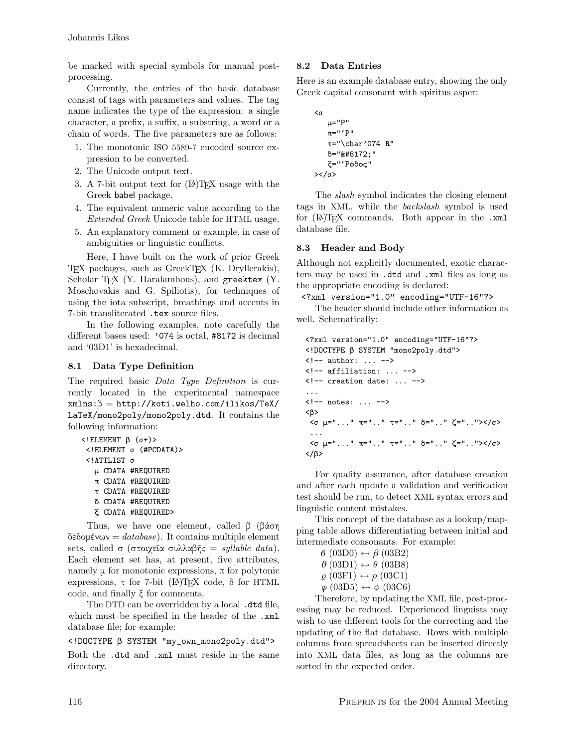be marked with special symbols for manual postprocessing.

Currently, the entries of the basic database consist of tags with parameters and values. The tag name indicates the type of the expression: a single character, a prefix, a suffix, a substring, a word or a chain of words. The five parameters are as follows:

- 1. The monotonic ISO 5589-7 encoded source expression to be converted.
- 2. The Unicode output text.
- 3. A 7-bit output text for (LA)TEX usage with the Greek babel package.
- 4. The equivalent numeric value according to the Extended Greek Unicode table for HTML usage.
- 5. An explanatory comment or example, in case of ambiguities or linguistic conflicts.

Here, I have built on the work of prior Greek TEX packages, such as GreekTEX (K. Dryllerakis), Scholar T<sub>F</sub>X (Y. Haralambous), and greektex (Y. Moschovakis and G. Spiliotis), for techniques of using the iota subscript, breathings and accents in 7-bit transliterated .tex source files.

In the following examples, note carefully the different bases used: '074 is octal, #8172 is decimal and '03D1' is hexadecimal.

# 8.1 Data Type Definition

The required basic *Data Type Definition* is currently located in the experimental namespace xmlns:β = http://koti.welho.com/ilikos/TeX/ LaTeX/mono2poly/mono2poly.dtd. It contains the following information:

```
\langle!ELEMENT \beta (\sigma+)\leq!ELEMENT \sigma (#PCDATA)>
 <!ATTLIST \sigmam CDATA #REQUIRED
   p CDATA #REQUIRED
   t CDATA #REQUIRED
   d CDATA #REQUIRED
   x CDATA #REQUIRED>
```
Thus, we have one element, called β (βάση δεδοµένων = database). It contains multiple element sets, called σ (στοιχεΐα συλλαβής = syllable data). Each element set has, at present, five attributes, namely  $\mu$  for monotonic expressions,  $\pi$  for polytonic expressions, τ for 7-bit ( $A$ )T<sub>E</sub>X code, δ for HTML code, and finally ξ for comments.

The DTD can be overridden by a local .dtd file, which must be specified in the header of the .xml database file; for example:

```
<!DOCTYPE b SYSTEM "my_own_mono2poly.dtd">
```
Both the .dtd and .xml must reside in the same directory.

# 8.2 Data Entries

Here is an example database entry, showing the only Greek capital consonant with spiritus asper:

```
\prec\sigma\mu = "P"\pi="'P"
    \tau="\char'074 R"
    δ="Ῥ"
    x="'Rìdoc"
>>/\sigma
```
The slash symbol indicates the closing element tags in XML, while the backslash symbol is used for (LA)T<sub>EX</sub> commands. Both appear in the .xml database file.

# 8.3 Header and Body

Although not explicitly documented, exotic characters may be used in .dtd and .xml files as long as the appropriate encoding is declared:

<?xml version="1.0" encoding="UTF-16"?>

The header should include other information as well. Schematically:

```
<?xml version="1.0" encoding="UTF-16"?>
<!DOCTYPE b SYSTEM "mono2poly.dtd">
\langle!-- author: ... -->
<!-- affiliation: ... -->
\langle!-- creation date: ... -->
...
<!-- notes: ... -->
<\beta>.<br><σ μ="..." π=".." τ=".." δ=".." ζ=".."></σ>
 ...
< \sigma \mu="..." \pi=".." \tau=".." \delta=".." \zeta=".."></\sigma>
</\beta>
```
For quality assurance, after database creation and after each update a validation and verification test should be run, to detect XML syntax errors and linguistic content mistakes.

This concept of the database as a lookup/mapping table allows differentiating between initial and intermediate consonants. For example:

```
\beta (03D0) \leftrightarrow \beta (03B2)
\theta (03D1) \leftrightarrow \theta (03B8)
\rho (03F1) \leftrightarrow \rho (03C1)
\varphi (03D5) \leftrightarrow \varphi (03C6)
```
Therefore, by updating the XML file, post-processing may be reduced. Experienced linguists may wish to use different tools for the correcting and the updating of the flat database. Rows with multiple columns from spreadsheets can be inserted directly into XML data files, as long as the columns are sorted in the expected order.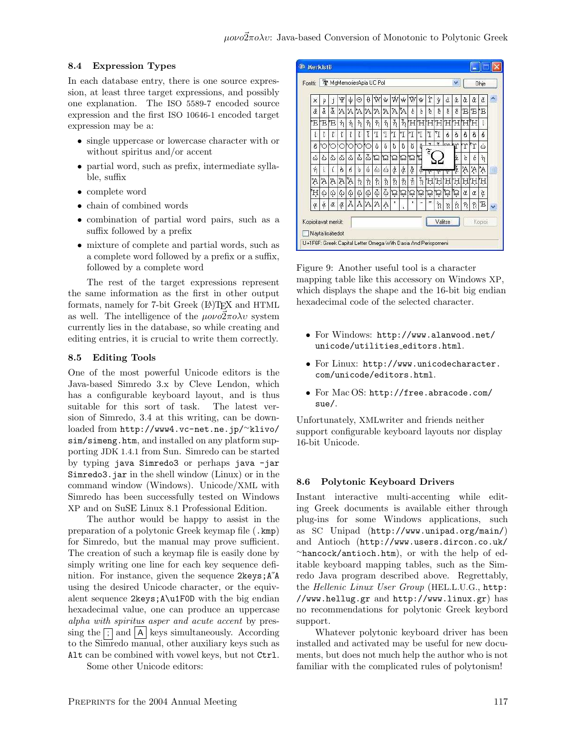#### 8.4 Expression Types

In each database entry, there is one source expression, at least three target expressions, and possibly one explanation. The ISO 5589-7 encoded source expression and the first ISO 10646-1 encoded target expression may be a:

- single uppercase or lowercase character with or without spiritus and/or accent
- partial word, such as prefix, intermediate syllable, suffix
- complete word
- chain of combined words
- combination of partial word pairs, such as a suffix followed by a prefix
- mixture of complete and partial words, such as a complete word followed by a prefix or a suffix, followed by a complete word

The rest of the target expressions represent the same information as the first in other output formats, namely for 7-bit Greek (LA)TEX and HTML as well. The intelligence of the  $\mu o\nu o\bar{2}\pi o\lambda v$  system currently lies in the database, so while creating and editing entries, it is crucial to write them correctly.

#### 8.5 Editing Tools

One of the most powerful Unicode editors is the Java-based Simredo 3.x by Cleve Lendon, which has a configurable keyboard layout, and is thus suitable for this sort of task. The latest version of Simredo, 3.4 at this writing, can be downloaded from http://www4.vc-net.ne.jp/<sup>∼</sup>klivo/ sim/simeng.htm, and installed on any platform supporting JDK 1.4.1 from Sun. Simredo can be started by typing java Simredo3 or perhaps java -jar Simredo3.jar in the shell window (Linux) or in the command window (Windows). Unicode/XML with Simredo has been successfully tested on Windows XP and on SuSE Linux 8.1 Professional Edition.

The author would be happy to assist in the preparation of a polytonic Greek keymap file (.kmp) for Simredo, but the manual may prove sufficient. The creation of such a keymap file is easily done by simply writing one line for each key sequence definition. For instance, given the sequence  $2 \text{keys}; A'A$ using the desired Unicode character, or the equivalent sequence 2keys;A\u1F0D with the big endian hexadecimal value, one can produce an uppercase alpha with spiritus asper and acute accent by pressing the  $\lceil \cdot \rceil$  and  $\lceil A \rceil$  keys simultaneously. According to the Simredo manual, other auxiliary keys such as Alt can be combined with vowel keys, but not Ctrl.

Some other Unicode editors:



Figure 9: Another useful tool is a character mapping table like this accessory on Windows XP, which displays the shape and the 16-bit big endian hexadecimal code of the selected character.

- For Windows: http://www.alanwood.net/ unicode/utilities editors.html.
- For Linux: http://www.unicodecharacter. com/unicode/editors.html.
- For Mac OS: http://free.abracode.com/ sue/.

Unfortunately, XMLwriter and friends neither support configurable keyboard layouts nor display 16-bit Unicode.

#### 8.6 Polytonic Keyboard Drivers

Instant interactive multi-accenting while editing Greek documents is available either through plug-ins for some Windows applications, such as SC Unipad (http://www.unipad.org/main/) and Antioch (http://www.users.dircon.co.uk/ <sup>∼</sup>hancock/antioch.htm), or with the help of editable keyboard mapping tables, such as the Simredo Java program described above. Regrettably, the Hellenic Linux User Group (HEL.L.U.G., http: //www.hellug.gr and http://www.linux.gr) has no recommendations for polytonic Greek keybord support.

Whatever polytonic keyboard driver has been installed and activated may be useful for new documents, but does not much help the author who is not familiar with the complicated rules of polytonism!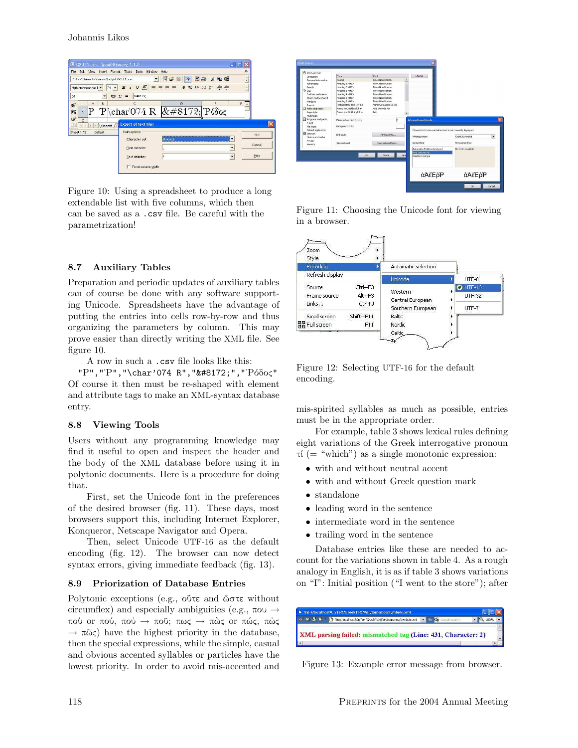#### Johannis Likos



Figure 10: Using a spreadsheet to produce a long extendable list with five columns, which then can be saved as a .csv file. Be careful with the parametrization!

## 8.7 Auxiliary Tables

Preparation and periodic updates of auxiliary tables can of course be done with any software supporting Unicode. Spreadsheets have the advantage of putting the entries into cells row-by-row and thus organizing the parameters by column. This may prove easier than directly writing the XML file. See figure 10.

A row in such a .csv file looks like this:

"P", "<sup>P</sup>", "\char'074 R", "&#8172; ", "Ρόδος" Of course it then must be re-shaped with element and attribute tags to make an XML-syntax database entry.

#### 8.8 Viewing Tools

Users without any programming knowledge may find it useful to open and inspect the header and the body of the XML database before using it in polytonic documents. Here is a procedure for doing that.

First, set the Unicode font in the preferences of the desired browser (fig. 11). These days, most browsers support this, including Internet Explorer, Konqueror, Netscape Navigator and Opera.

Then, select Unicode UTF-16 as the default encoding (fig. 12). The browser can now detect syntax errors, giving immediate feedback (fig. 13).

#### 8.9 Priorization of Database Entries

Polytonic exceptions (e.g., ούτε and ώστε without circumflex) and especially ambiguities (e.g.,  $\pi \omega \rightarrow$ πού or πού, που  $\rightarrow$  ποῦ; πως  $\rightarrow$  πώς or πώς, πως  $\rightarrow \pi\tilde{\omega}\zeta$ ) have the highest priority in the database, then the special expressions, while the simple, casual and obvious accented syllables or particles have the lowest priority. In order to avoid mis-accented and



Figure 11: Choosing the Unicode font for viewing in a browser.



Figure 12: Selecting UTF-16 for the default encoding.

mis-spirited syllables as much as possible, entries must be in the appropriate order.

For example, table 3 shows lexical rules defining eight variations of the Greek interrogative pronoun τί (= "which") as a single monotonic expression:

- with and without neutral accent
- with and without Greek question mark
- standalone
- leading word in the sentence
- intermediate word in the sentence
- trailing word in the sentence

Database entries like these are needed to account for the variations shown in table 4. As a rough analogy in English, it is as if table 3 shows variations on "I": Initial position ("I went to the store"); after



Figure 13: Example error message from browser.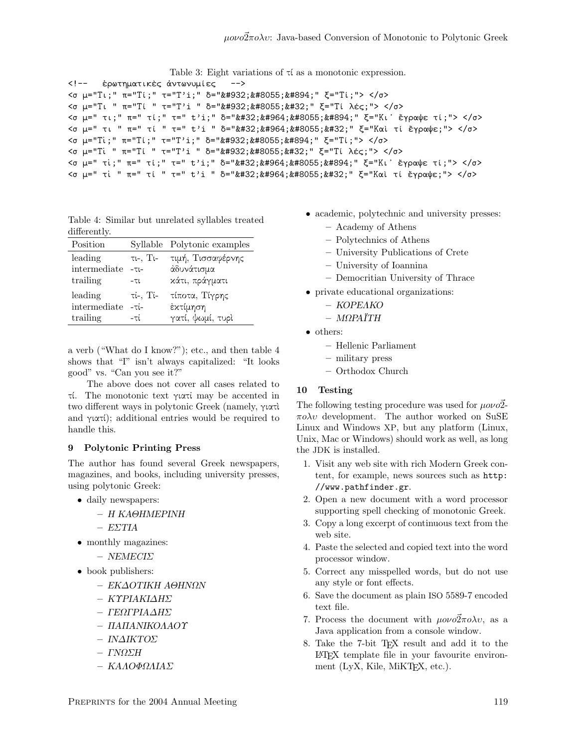Table 3: Eight variations of  $\tau$  as a monotonic expression.

```
έρωτηματικές άντωνυμίες
                                 \rightarrow1 - -<σ μ="Τι;" π="Τί;" τ="Τ'i;" δ="&#932;&#8055;&#894;" ξ="Τί;"> </σ>
<σ μ="Τι " π="Τί " τ="Τ'i " δ="&#932;&#8055;&#32;" ξ="Τί λές;"> </σ>
<σ μ=" τι;" π=" τί;" τ=" t'i;" δ="&#32;&#964;&#8055;&#894;" ξ="Κι' ἔγραψε τί;"> </σ>
<σ μ=" τι " π=" τί " τ=" t'i " δ="&#32;&#964;&#8055;&#32;" ξ="Καὶ τί ἔγραψε;"> </σ>
<σ μ="Τi;" π="Τi;" τ="Τ'i;" δ="&#932;&#8055;&#894;" ξ="Τi;"> </σ>
<σ μ="Τί " π="Τί " τ="Τ'i " δ="&#932;&#8055;&#32;" ξ="Τί λές;"> </σ>
<σ μ=" τί;" π=" τί;" τ=" t'i;" δ="&#32;&#964;&#8055;&#894;" ξ="Κι' έγραψε τί;"> </σ>
<σ μ=" τi " π=" τί " τ=" t'i " δ="&#32;&#964;&#8055;&#32;" ξ="Καὶ τί ἔγραψε;"> </σ>
```

|              |  | Table 4: Similar but unrelated syllables treated |  |
|--------------|--|--------------------------------------------------|--|
| differently. |  |                                                  |  |

| Position     |                   | Syllable Polytonic examples |
|--------------|-------------------|-----------------------------|
| leading      | $\tau$ i-, $T$ i- | τιμή, Τισσαφέρνης           |
| intermediate | $-TL-$            | άδυνάτισμα                  |
| trailing     | -Tl               | κάτι, πράγματι              |
| leading      | $\tau$ i-, Ti-    | τίποτα, Τίγρης              |
| intermediate | $-\tau$ i-        | έκτίμηση                    |
| trailing     | -TL               | γατί, ψωμί, τυρί            |

a verb ("What do I know?"); etc., and then table 4 shows that "I" isn't always capitalized: "It looks good" vs. "Can you see it?"

The above does not cover all cases related to  $τ$ ί. The monotonic text γιατί may be accented in two different ways in polytonic Greek (namely, γιατί and  $\gamma \alpha \tau$ ; additional entries would be required to handle this.

#### 9 Polytonic Printing Press

The author has found several Greek newspapers, magazines, and books, including university presses, using polytonic Greek:

- $\bullet$  daily newspapers:
	- $-$  H KA $\Theta$ HMEPINH
	- $-$  EXTIA
- $\bullet$  monthly magazines:
	- $-$  NEMECI $\Sigma$
- book publishers:
	- $-$  EK $\Delta$ OTIKH A $\Theta$ HN $\Omega$ N
	- $-$  KYPIAKIAH $\Sigma$
	- $-$  ΓΕΩΓΡΙΑΔΗΣ
	- $-$  ΠΑΠΑΝΙΚΟΛΑΟΥ
	- $-$  IN $\triangle$ IKTO $\Sigma$
	- $\Gamma N \Omega \Sigma H$
	- $KAA O \Phi \Omega A I A \Sigma$
- academic, polytechnic and university presses:
	- Academy of Athens
	- Polytechnics of Athens
	- University Publications of Crete
	- University of Ioannina
	- Democritian University of Thrace
- private educational organizations:
	- $-$  KOPEAKO
	- ΜΩΡΑΪΤΗ
- $\bullet$  others:
	- Hellenic Parliament
	- $-$  military press
	- $-$  Orthodox Church

## 10 Testing

The following testing procedure was used for  $\mu o\nu o\vec{2}$ - $\pi o \lambda v$  development. The author worked on SuSE Linux and Windows XP, but any platform (Linux, Unix, Mac or Windows) should work as well, as long the JDK is installed.

- 1. Visit any web site with rich Modern Greek content, for example, news sources such as http: //www.pathfinder.gr.
- 2. Open a new document with a word processor supporting spell checking of monotonic Greek.
- 3. Copy a long excerpt of continuous text from the web site.
- 4. Paste the selected and copied text into the word processor window.
- 5. Correct any misspelled words, but do not use any style or font effects.
- 6. Save the document as plain ISO 5589-7 encoded text file.
- 7. Process the document with  $\mu o\nu o \bar{2} \pi o \lambda v$ , as a Java application from a console window.
- 8. Take the 7-bit TFX result and add it to the LAT<sub>EX</sub> template file in your favourite environment (LyX, Kile, MiKTFX, etc.).